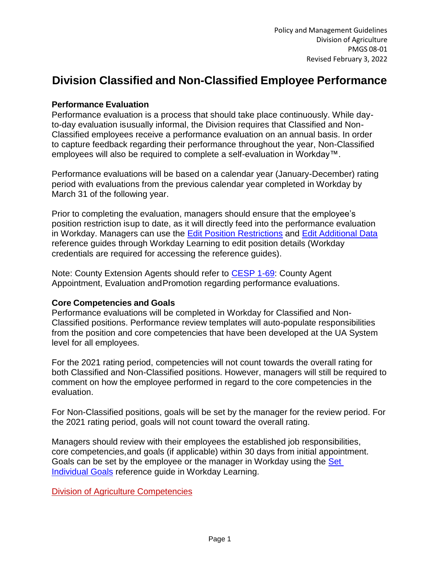# **Division Classified and Non-Classified Employee Performance**

#### **Performance Evaluation**

Performance evaluation is a process that should take place continuously. While dayto-day evaluation isusually informal, the Division requires that Classified and Non-Classified employees receive a performance evaluation on an annual basis. In order to capture feedback regarding their performance throughout the year, Non-Classified employees will also be required to complete a self-evaluation in Workday™.

Performance evaluations will be based on a calendar year (January-December) rating period with evaluations from the previous calendar year completed in Workday by March 31 of the following year.

Prior to completing the evaluation, managers should ensure that the employee's position restriction isup to date, as it will directly feed into the performance evaluation in Workday. Managers can use the [Edit Position Restrictions](https://wd5.myworkday.com/uasys/learning/lesson/0d89204164e30101a707e204c00103a1?record=11e5941611408112410bdb652cc40000&type=7c48590b52571000094b3e81aeef006a) and [Edit Additional Data](https://wd5.myworkday.com/uasys/learning/lesson/0d89204164e301bbc6c2d704c001fda0?record=11e5941611408112412c984c93770000&type=7c48590b52571000094b3e81aeef006a) reference guides through Workday Learning to edit position details (Workday credentials are required for accessing the reference guides).

Note: County Extension Agents should refer to [CESP 1-69:](https://www.uaex.uada.edu/extension-policies/personnel/appointment-promotion/cesp1-69.aspx) County Agent Appointment, Evaluation andPromotion regarding performance evaluations.

#### **Core Competencies and Goals**

Performance evaluations will be completed in Workday for Classified and Non-Classified positions. Performance review templates will auto-populate responsibilities from the position and core competencies that have been developed at the UA System level for all employees.

For the 2021 rating period, competencies will not count towards the overall rating for both Classified and Non-Classified positions. However, managers will still be required to comment on how the employee performed in regard to the core competencies in the evaluation.

For Non-Classified positions, goals will be set by the manager for the review period. For the 2021 rating period, goals will not count toward the overall rating.

Managers should review with their employees the established job responsibilities, core competencies,and goals (if applicable) within 30 days from initial appointment. Goals can be set by the employee or the manager in Workday using the [Set](https://wd5.myworkday.com/uasys/learning/lesson/0d89204164e30161b697c707c00119a3?record=11e59416114081124138d38c78be0000&type=7c48590b52571000094b3e81aeef006a) [Individual](https://wd5.myworkday.com/uasys/learning/lesson/0d89204164e30161b697c707c00119a3?record=11e59416114081124138d38c78be0000&type=7c48590b52571000094b3e81aeef006a) Goals reference guide in Workday Learning.

Division of Agriculture [Competencies](https://uada.edu/employees/business-office/human-resources/docs/Division%20of%20Agriculture%20Competencies.docx)